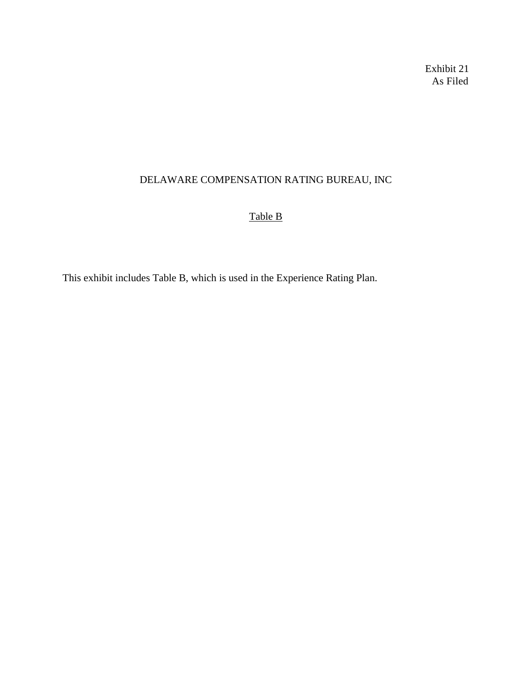## Exhibit 21 As Filed

## DELAWARE COMPENSATION RATING BUREAU, INC

# Table B

This exhibit includes Table B, which is used in the Experience Rating Plan.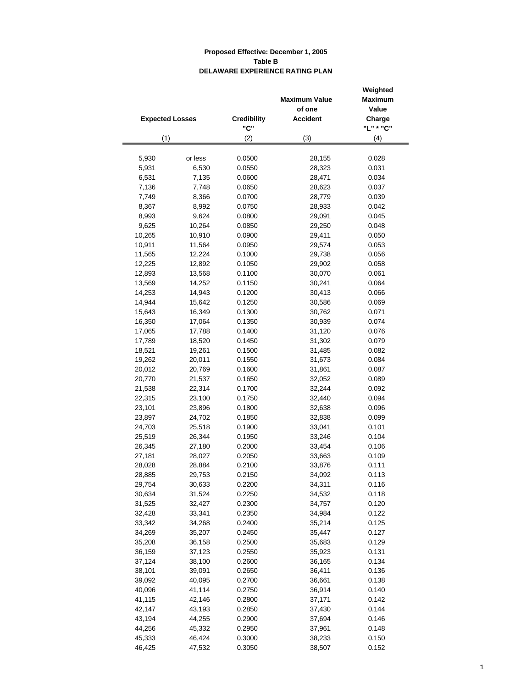|                        |         |                    | <b>Maximum Value</b> | Weighted<br><b>Maximum</b> |
|------------------------|---------|--------------------|----------------------|----------------------------|
|                        |         |                    | of one               | Value                      |
| <b>Expected Losses</b> |         | <b>Credibility</b> | <b>Accident</b>      | Charge                     |
|                        |         | "C"                |                      | "L" * "C"                  |
| (1)                    |         | (2)                | (3)                  | (4)                        |
|                        |         |                    |                      |                            |
| 5,930                  | or less | 0.0500             | 28,155               | 0.028                      |
| 5,931                  | 6,530   | 0.0550             | 28,323               | 0.031                      |
| 6,531                  | 7,135   | 0.0600             | 28,471               | 0.034                      |
| 7,136                  | 7,748   | 0.0650             | 28,623               | 0.037                      |
| 7,749                  | 8,366   | 0.0700             | 28,779               | 0.039                      |
| 8,367                  | 8,992   | 0.0750             | 28,933               | 0.042                      |
| 8,993                  | 9,624   | 0.0800             | 29,091               | 0.045                      |
| 9,625                  | 10,264  | 0.0850             | 29,250               | 0.048                      |
| 10,265                 | 10,910  | 0.0900             | 29,411               | 0.050                      |
| 10,911                 | 11,564  | 0.0950             | 29,574               | 0.053                      |
| 11,565                 | 12,224  | 0.1000             | 29,738               | 0.056                      |
| 12,225                 | 12,892  | 0.1050             | 29,902               | 0.058                      |
| 12,893                 | 13,568  | 0.1100             | 30,070               | 0.061                      |
| 13,569                 | 14,252  | 0.1150             | 30,241               | 0.064                      |
| 14,253                 | 14,943  | 0.1200             | 30,413               | 0.066                      |
| 14,944                 | 15,642  | 0.1250             | 30,586               | 0.069                      |
| 15,643                 | 16,349  | 0.1300             | 30,762               | 0.071                      |
| 16,350                 | 17,064  | 0.1350             | 30,939               | 0.074                      |
| 17,065                 | 17,788  | 0.1400             | 31,120               | 0.076                      |
| 17,789                 | 18,520  | 0.1450             | 31,302               | 0.079                      |
| 18,521                 | 19,261  | 0.1500             | 31,485               | 0.082                      |
| 19,262                 | 20,011  | 0.1550             | 31,673               | 0.084                      |
| 20,012                 | 20,769  | 0.1600             | 31,861               | 0.087                      |
| 20,770                 | 21,537  | 0.1650             | 32,052               | 0.089                      |
| 21,538                 | 22,314  | 0.1700             | 32,244               | 0.092                      |
| 22,315                 | 23,100  | 0.1750             | 32,440               | 0.094                      |
| 23,101                 | 23,896  | 0.1800             | 32,638               | 0.096                      |
| 23,897                 | 24,702  | 0.1850             | 32,838               | 0.099                      |
| 24,703                 | 25,518  | 0.1900             | 33,041               | 0.101                      |
| 25,519                 | 26,344  | 0.1950             | 33,246               | 0.104                      |
| 26,345                 | 27,180  | 0.2000             | 33,454               | 0.106                      |
| 27,181                 | 28,027  | 0.2050             | 33,663               | 0.109                      |
| 28,028                 | 28,884  | 0.2100             | 33,876               | 0.111                      |
| 28,885                 | 29,753  | 0.2150             | 34,092               | 0.113                      |
| 29,754                 | 30,633  | 0.2200             | 34,311               | 0.116                      |
| 30,634                 | 31,524  | 0.2250             | 34,532               | 0.118                      |
| 31,525                 | 32,427  | 0.2300             | 34,757               | 0.120                      |
| 32,428                 | 33,341  | 0.2350             | 34,984               | 0.122                      |
| 33,342                 | 34,268  | 0.2400             | 35,214               | 0.125                      |
| 34,269                 | 35,207  | 0.2450             | 35,447               | 0.127                      |
| 35,208                 | 36,158  | 0.2500             | 35,683               | 0.129                      |
| 36,159                 | 37,123  | 0.2550             | 35,923               | 0.131                      |
| 37,124                 | 38,100  | 0.2600             | 36,165               | 0.134                      |
| 38,101                 | 39,091  | 0.2650             | 36,411               | 0.136                      |
| 39,092                 | 40,095  | 0.2700             | 36,661               | 0.138                      |
| 40,096                 | 41,114  | 0.2750             | 36,914               | 0.140                      |
| 41,115                 | 42,146  | 0.2800             | 37,171               | 0.142                      |
|                        |         |                    |                      |                            |
| 42,147                 | 43,193  | 0.2850             | 37,430               | 0.144                      |
| 43,194                 | 44,255  | 0.2900             | 37,694               | 0.146                      |
| 44,256                 | 45,332  | 0.2950             | 37,961               | 0.148                      |
| 45,333                 | 46,424  | 0.3000             | 38,233               | 0.150                      |
| 46,425                 | 47,532  | 0.3050             | 38,507               | 0.152                      |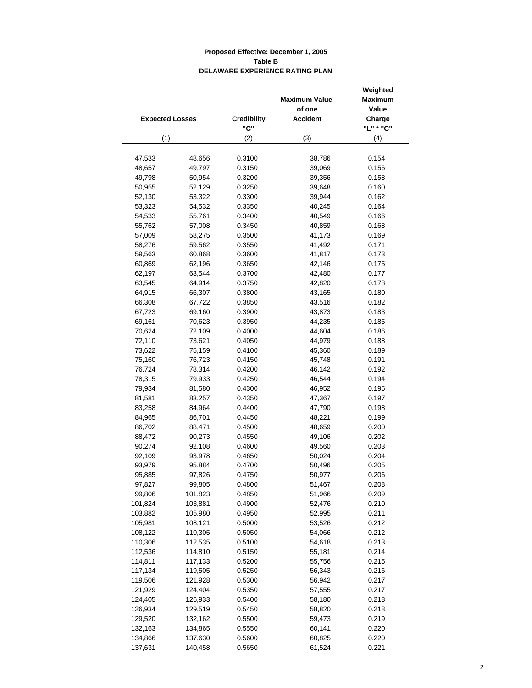|                        |                  |                    | Weighted             |                |
|------------------------|------------------|--------------------|----------------------|----------------|
|                        |                  |                    | <b>Maximum Value</b> | <b>Maximum</b> |
|                        |                  |                    | of one               | Value          |
| <b>Expected Losses</b> |                  | <b>Credibility</b> | <b>Accident</b>      | Charge         |
|                        |                  | "C"                |                      | "L" * "C"      |
| (1)                    |                  | (2)                | (3)                  | (4)            |
|                        |                  |                    |                      |                |
| 47,533                 | 48,656           | 0.3100             | 38,786               | 0.154          |
| 48,657                 | 49,797           | 0.3150             | 39,069               | 0.156          |
| 49,798                 | 50,954           | 0.3200             | 39,356               | 0.158          |
| 50,955                 | 52,129           | 0.3250             | 39,648               | 0.160          |
| 52,130                 | 53,322           | 0.3300             | 39,944               | 0.162          |
| 53,323                 | 54,532           | 0.3350             | 40,245               | 0.164          |
| 54,533                 | 55,761           | 0.3400             | 40,549               | 0.166          |
| 55,762                 | 57,008           | 0.3450             | 40,859               | 0.168          |
| 57,009                 | 58,275           | 0.3500             | 41,173               | 0.169          |
| 58,276                 | 59,562           | 0.3550             | 41,492               | 0.171          |
| 59,563                 | 60,868           | 0.3600             | 41,817               | 0.173          |
| 60,869                 | 62,196           | 0.3650             | 42,146               | 0.175          |
| 62,197                 | 63,544           | 0.3700             | 42,480               | 0.177          |
| 63,545                 | 64,914           | 0.3750             | 42,820               | 0.178          |
| 64,915                 | 66,307           | 0.3800             | 43,165               | 0.180          |
| 66,308                 | 67,722           | 0.3850             | 43,516               | 0.182          |
| 67,723                 | 69,160           | 0.3900             | 43,873               | 0.183          |
| 69,161                 | 70,623           | 0.3950             | 44,235               | 0.185          |
| 70,624                 | 72,109           | 0.4000             | 44,604               | 0.186          |
| 72,110                 | 73,621           | 0.4050             | 44,979               | 0.188          |
| 73,622                 | 75,159           | 0.4100             | 45,360               | 0.189          |
| 75,160                 | 76,723           | 0.4150             | 45,748               | 0.191          |
| 76,724                 | 78,314           | 0.4200             | 46,142               | 0.192          |
| 78,315                 | 79,933           | 0.4250             | 46,544               | 0.194          |
| 79,934                 | 81,580           | 0.4300             | 46,952               | 0.195          |
| 81,581                 | 83,257           | 0.4350             | 47,367               | 0.197          |
| 83,258                 | 84,964           | 0.4400             | 47,790               | 0.198          |
| 84,965<br>86,702       | 86,701<br>88,471 | 0.4450<br>0.4500   | 48,221<br>48,659     | 0.199<br>0.200 |
| 88,472                 | 90,273           | 0.4550             | 49,106               | 0.202          |
| 90,274                 | 92,108           | 0.4600             | 49,560               | 0.203          |
| 92,109                 | 93,978           | 0.4650             | 50,024               | 0.204          |
| 93,979                 | 95,884           | 0.4700             | 50,496               | 0.205          |
| 95,885                 | 97,826           | 0.4750             | 50,977               | 0.206          |
| 97,827                 | 99,805           | 0.4800             | 51,467               | 0.208          |
| 99,806                 | 101,823          | 0.4850             | 51,966               | 0.209          |
| 101,824                | 103,881          | 0.4900             | 52,476               | 0.210          |
| 103,882                | 105,980          | 0.4950             | 52,995               | 0.211          |
| 105,981                | 108,121          | 0.5000             | 53,526               | 0.212          |
| 108,122                | 110,305          | 0.5050             | 54,066               | 0.212          |
| 110,306                | 112,535          | 0.5100             | 54,618               | 0.213          |
| 112,536                | 114,810          | 0.5150             | 55,181               | 0.214          |
| 114,811                | 117,133          | 0.5200             | 55,756               | 0.215          |
| 117,134                | 119,505          | 0.5250             | 56,343               | 0.216          |
| 119,506                | 121,928          | 0.5300             | 56,942               | 0.217          |
| 121,929                | 124,404          | 0.5350             | 57,555               | 0.217          |
| 124,405                | 126,933          | 0.5400             | 58,180               | 0.218          |
| 126,934                | 129,519          | 0.5450             | 58,820               | 0.218          |
| 129,520                | 132,162          | 0.5500             | 59,473               | 0.219          |
| 132,163                | 134,865          | 0.5550             | 60,141               | 0.220          |
| 134,866                | 137,630          | 0.5600             | 60,825               | 0.220          |
| 137,631                | 140,458          | 0.5650             | 61,524               | 0.221          |
|                        |                  |                    |                      |                |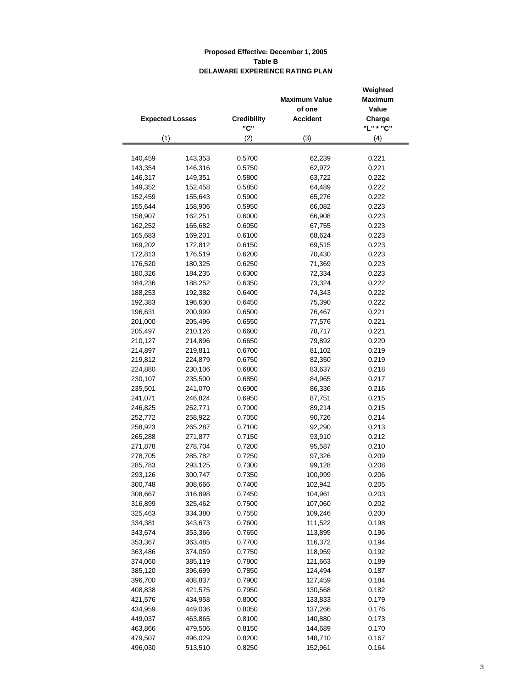|                        |         |                    | <b>Maximum Value</b><br>of one | Weighted<br><b>Maximum</b><br>Value |
|------------------------|---------|--------------------|--------------------------------|-------------------------------------|
| <b>Expected Losses</b> |         | <b>Credibility</b> | <b>Accident</b>                | Charge                              |
|                        |         | "C"                |                                | "L" * "C"                           |
| (1)                    |         | (2)                | (3)                            | (4)                                 |
|                        |         |                    |                                |                                     |
| 140,459                | 143,353 | 0.5700             | 62,239                         | 0.221                               |
| 143,354                | 146,316 | 0.5750             | 62,972                         | 0.221                               |
| 146,317                | 149,351 | 0.5800             | 63,722                         | 0.222                               |
| 149,352                | 152,458 | 0.5850             | 64,489                         | 0.222                               |
| 152,459                | 155,643 | 0.5900             | 65,276                         | 0.222                               |
| 155,644                | 158,906 | 0.5950             | 66,082                         | 0.223                               |
| 158,907                | 162,251 | 0.6000             | 66,908                         | 0.223                               |
| 162,252                | 165,682 | 0.6050             | 67,755                         | 0.223                               |
| 165,683                | 169,201 | 0.6100             | 68,624                         | 0.223                               |
| 169,202                | 172,812 | 0.6150             | 69,515                         | 0.223                               |
| 172,813                | 176,519 | 0.6200             | 70,430                         | 0.223                               |
| 176,520                | 180,325 | 0.6250             | 71,369                         | 0.223                               |
| 180,326                | 184,235 | 0.6300             | 72,334                         | 0.223                               |
| 184,236                | 188,252 | 0.6350             | 73,324                         | 0.222                               |
| 188,253                | 192,382 | 0.6400             | 74,343                         | 0.222                               |
| 192,383                | 196,630 | 0.6450             | 75,390                         | 0.222                               |
| 196,631                | 200,999 | 0.6500             | 76,467                         | 0.221                               |
| 201,000                | 205,496 | 0.6550             | 77,576                         | 0.221                               |
| 205,497                | 210,126 | 0.6600             | 78,717                         | 0.221                               |
| 210,127                | 214,896 | 0.6650             | 79,892                         | 0.220                               |
| 214,897                | 219,811 | 0.6700             | 81,102                         | 0.219                               |
| 219,812                | 224,879 | 0.6750             | 82,350                         | 0.219                               |
| 224,880                | 230,106 | 0.6800             | 83,637                         | 0.218                               |
| 230,107                | 235,500 | 0.6850             | 84,965                         | 0.217                               |
| 235,501                | 241,070 | 0.6900             | 86,336                         | 0.216                               |
| 241,071                | 246,824 | 0.6950             | 87,751                         | 0.215                               |
| 246,825                | 252,771 | 0.7000             | 89,214                         | 0.215                               |
| 252,772                | 258,922 | 0.7050             | 90,726                         | 0.214                               |
| 258,923                | 265,287 | 0.7100             | 92,290                         | 0.213                               |
| 265,288                | 271,877 | 0.7150             | 93,910                         | 0.212                               |
| 271,878                | 278,704 | 0.7200             | 95,587                         | 0.210                               |
| 278,705                | 285,782 | 0.7250             | 97,326                         | 0.209                               |
| 285,783                | 293,125 | 0.7300             | 99,128                         | 0.208                               |
| 293,126                | 300,747 | 0.7350             | 100,999                        | 0.206                               |
| 300,748                | 308,666 | 0.7400             | 102,942                        | 0.205                               |
| 308,667                | 316,898 | 0.7450             | 104,961                        | 0.203                               |
| 316,899                | 325,462 | 0.7500             | 107,060                        | 0.202                               |
| 325,463                | 334,380 | 0.7550             | 109,246                        | 0.200                               |
| 334,381                | 343,673 | 0.7600             | 111,522                        | 0.198                               |
| 343,674                | 353,366 | 0.7650             | 113,895                        | 0.196                               |
| 353,367                | 363,485 | 0.7700             | 116,372                        | 0.194                               |
| 363,486                | 374,059 | 0.7750             | 118,959                        | 0.192                               |
| 374,060                | 385,119 | 0.7800             | 121,663                        | 0.189                               |
| 385,120                | 396,699 | 0.7850             | 124,494                        | 0.187                               |
| 396,700                | 408,837 | 0.7900             | 127,459                        | 0.184                               |
| 408,838                | 421,575 | 0.7950             | 130,568                        | 0.182                               |
| 421,576                | 434,958 | 0.8000             | 133,833                        | 0.179                               |
| 434,959                | 449,036 | 0.8050             | 137,266                        | 0.176                               |
| 449,037                | 463,865 | 0.8100             | 140,880                        | 0.173                               |
| 463,866                | 479,506 | 0.8150             | 144,689                        | 0.170                               |
| 479,507                | 496,029 | 0.8200             | 148,710                        | 0.167                               |
| 496,030                | 513,510 | 0.8250             | 152,961                        | 0.164                               |